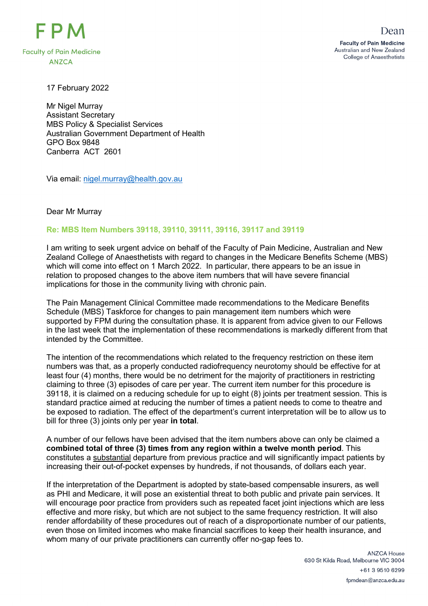

17 February 2022

Mr Nigel Murray Assistant Secretary MBS Policy & Specialist Services Australian Government Department of Health GPO Box 9848 Canberra ACT 2601

Via email: [nigel.murray@health.gov.au](mailto:nigel.murray@health.gov.au)

## Dear Mr Murray

## **Re: MBS Item Numbers 39118, 39110, 39111, 39116, 39117 and 39119**

I am writing to seek urgent advice on behalf of the Faculty of Pain Medicine, Australian and New Zealand College of Anaesthetists with regard to changes in the Medicare Benefits Scheme (MBS) which will come into effect on 1 March 2022. In particular, there appears to be an issue in relation to proposed changes to the above item numbers that will have severe financial implications for those in the community living with chronic pain.

The Pain Management Clinical Committee made recommendations to the Medicare Benefits Schedule (MBS) Taskforce for changes to pain management item numbers which were supported by FPM during the consultation phase. It is apparent from advice given to our Fellows in the last week that the implementation of these recommendations is markedly different from that intended by the Committee.

The intention of the recommendations which related to the frequency restriction on these item numbers was that, as a properly conducted radiofrequency neurotomy should be effective for at least four (4) months, there would be no detriment for the majority of practitioners in restricting claiming to three (3) episodes of care per year. The current item number for this procedure is 39118, it is claimed on a reducing schedule for up to eight (8) joints per treatment session. This is standard practice aimed at reducing the number of times a patient needs to come to theatre and be exposed to radiation. The effect of the department's current interpretation will be to allow us to bill for three (3) joints only per year **in total**.

A number of our fellows have been advised that the item numbers above can only be claimed a **combined total of three (3) times from any region within a twelve month period**. This constitutes a substantial departure from previous practice and will significantly impact patients by increasing their out-of-pocket expenses by hundreds, if not thousands, of dollars each year.

If the interpretation of the Department is adopted by state-based compensable insurers, as well as PHI and Medicare, it will pose an existential threat to both public and private pain services. It will encourage poor practice from providers such as repeated facet joint injections which are less effective and more risky, but which are not subject to the same frequency restriction. It will also render affordability of these procedures out of reach of a disproportionate number of our patients, even those on limited incomes who make financial sacrifices to keep their health insurance, and whom many of our private practitioners can currently offer no-gap fees to.